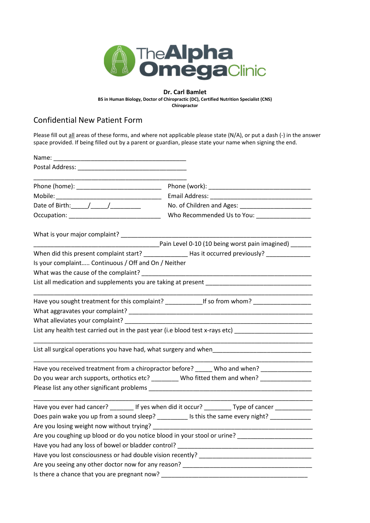

## **Dr. Carl Bamlet**

**BS in Human Biology, Doctor of Chiropractic (DC), Certified Nutrition Specialist (CNS)**

**Chiropractor**

## Confidential New Patient Form

Please fill out all areas of these forms, and where not applicable please state (N/A), or put a dash (-) in the answer space provided. If being filled out by a parent or guardian, please state your name when signing the end.

|                                                                                        | Who Recommended Us to You: __________________                                                        |
|----------------------------------------------------------------------------------------|------------------------------------------------------------------------------------------------------|
|                                                                                        |                                                                                                      |
|                                                                                        | Pain Level 0-10 (10 being worst pain imagined)                                                       |
|                                                                                        | When did this present complaint start? _______________Has it occurred previously? _________________  |
| Is your complaint Continuous / Off and On / Neither                                    |                                                                                                      |
|                                                                                        |                                                                                                      |
|                                                                                        |                                                                                                      |
|                                                                                        | Have you sought treatment for this complaint? _______________If so from whom? _____________________  |
|                                                                                        |                                                                                                      |
|                                                                                        | List any health test carried out in the past year (i.e blood test x-rays etc) ______________________ |
|                                                                                        | List all surgical operations you have had, what surgery and when___________________________________  |
|                                                                                        | Have you received treatment from a chiropractor before? ______ Who and when? _______________         |
|                                                                                        | Do you wear arch supports, orthotics etc? ________ Who fitted them and when? _______________         |
|                                                                                        |                                                                                                      |
|                                                                                        | Have you ever had cancer? _________ If yes when did it occur? __________ Type of cancer ___________  |
|                                                                                        | Does pain wake you up from a sound sleep? __________ Is this the same every night? _____________     |
| Are you losing weight now without trying?<br>Are you losing weight now without trying? |                                                                                                      |
|                                                                                        | Are you coughing up blood or do you notice blood in your stool or urine? __________________________  |
|                                                                                        |                                                                                                      |
|                                                                                        |                                                                                                      |
|                                                                                        |                                                                                                      |
|                                                                                        |                                                                                                      |
|                                                                                        |                                                                                                      |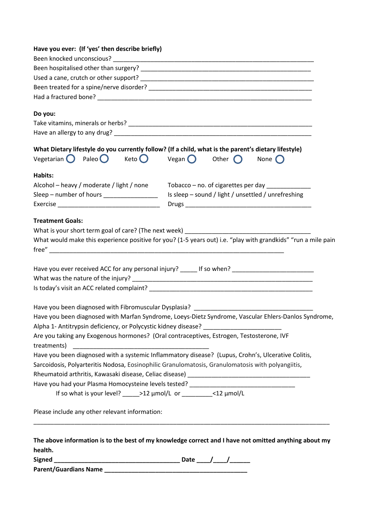| Have you ever: (If 'yes' then describe briefly)                                                                                                                        |  |                                                     |  |
|------------------------------------------------------------------------------------------------------------------------------------------------------------------------|--|-----------------------------------------------------|--|
|                                                                                                                                                                        |  |                                                     |  |
|                                                                                                                                                                        |  |                                                     |  |
|                                                                                                                                                                        |  |                                                     |  |
|                                                                                                                                                                        |  |                                                     |  |
|                                                                                                                                                                        |  |                                                     |  |
| Do you:                                                                                                                                                                |  |                                                     |  |
|                                                                                                                                                                        |  |                                                     |  |
|                                                                                                                                                                        |  |                                                     |  |
| What Dietary lifestyle do you currently follow? (If a child, what is the parent's dietary lifestyle)                                                                   |  |                                                     |  |
| Vegetarian $\bigcirc$ Paleo $\bigcirc$ Keto $\bigcirc$ Vegan $\bigcirc$ Other $\bigcirc$                                                                               |  | None $\bigcap$                                      |  |
| Habits:                                                                                                                                                                |  |                                                     |  |
| Alcohol - heavy / moderate / light / none Tobacco - no. of cigarettes per day _____________                                                                            |  |                                                     |  |
| Sleep - number of hours _________________                                                                                                                              |  | Is sleep - sound / light / unsettled / unrefreshing |  |
|                                                                                                                                                                        |  |                                                     |  |
| <b>Treatment Goals:</b>                                                                                                                                                |  |                                                     |  |
|                                                                                                                                                                        |  |                                                     |  |
| What would make this experience positive for you? (1-5 years out) i.e. "play with grandkids" "run a mile pain                                                          |  |                                                     |  |
|                                                                                                                                                                        |  |                                                     |  |
|                                                                                                                                                                        |  |                                                     |  |
| Have you ever received ACC for any personal injury? ______ If so when? _____________________________                                                                   |  |                                                     |  |
|                                                                                                                                                                        |  |                                                     |  |
|                                                                                                                                                                        |  |                                                     |  |
|                                                                                                                                                                        |  |                                                     |  |
| Have you been diagnosed with Fibromuscular Dysplasia? __________________________                                                                                       |  |                                                     |  |
| Have you been diagnosed with Marfan Syndrome, Loeys-Dietz Syndrome, Vascular Ehlers-Danlos Syndrome,                                                                   |  |                                                     |  |
| Alpha 1- Antitrypsin deficiency, or Polycystic kidney disease?                                                                                                         |  |                                                     |  |
| Are you taking any Exogenous hormones? (Oral contraceptives, Estrogen, Testosterone, IVF                                                                               |  |                                                     |  |
| treatments)                                                                                                                                                            |  |                                                     |  |
| Have you been diagnosed with a systemic Inflammatory disease? (Lupus, Crohn's, Ulcerative Colitis,                                                                     |  |                                                     |  |
| Sarcoidosis, Polyarteritis Nodosa, Eosinophilic Granulomatosis, Granulomatosis with polyangiitis,                                                                      |  |                                                     |  |
|                                                                                                                                                                        |  |                                                     |  |
| Have you had your Plasma Homocysteine levels tested?<br>The second second second second second second second second second second second second second second second s |  |                                                     |  |
| If so what is your level? _____>12 µmol/L or ___________<12 µmol/L                                                                                                     |  |                                                     |  |
| Please include any other relevant information:                                                                                                                         |  |                                                     |  |
|                                                                                                                                                                        |  |                                                     |  |
| The above information is to the best of my knowledge correct and I have not omitted anything about my                                                                  |  |                                                     |  |
| health.                                                                                                                                                                |  |                                                     |  |
|                                                                                                                                                                        |  |                                                     |  |

| <b>Signed</b>         | Date |
|-----------------------|------|
| Parent/Guardians Name |      |